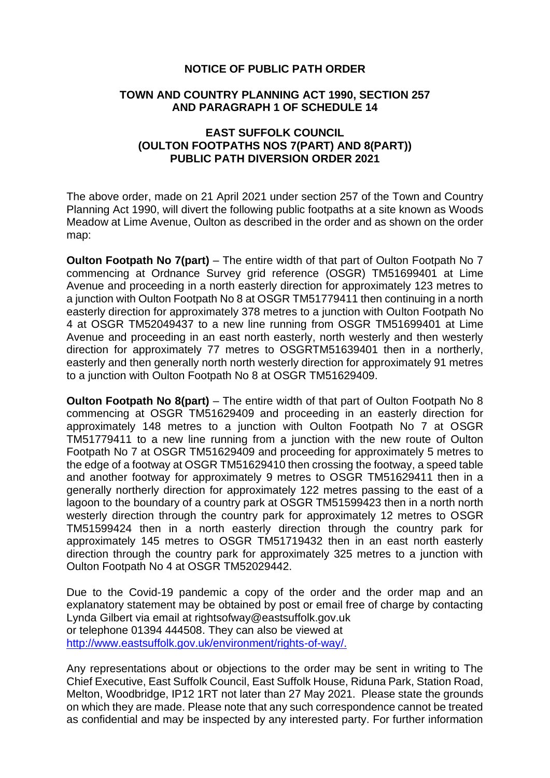## **NOTICE OF PUBLIC PATH ORDER**

## **TOWN AND COUNTRY PLANNING ACT 1990, SECTION 257 AND PARAGRAPH 1 OF SCHEDULE 14**

## **EAST SUFFOLK COUNCIL (OULTON FOOTPATHS NOS 7(PART) AND 8(PART)) PUBLIC PATH DIVERSION ORDER 2021**

The above order, made on 21 April 2021 under section 257 of the Town and Country Planning Act 1990, will divert the following public footpaths at a site known as Woods Meadow at Lime Avenue, Oulton as described in the order and as shown on the order map:

**Oulton Footpath No 7(part)** – The entire width of that part of Oulton Footpath No 7 commencing at Ordnance Survey grid reference (OSGR) TM51699401 at Lime Avenue and proceeding in a north easterly direction for approximately 123 metres to a junction with Oulton Footpath No 8 at OSGR TM51779411 then continuing in a north easterly direction for approximately 378 metres to a junction with Oulton Footpath No 4 at OSGR TM52049437 to a new line running from OSGR TM51699401 at Lime Avenue and proceeding in an east north easterly, north westerly and then westerly direction for approximately 77 metres to OSGRTM51639401 then in a northerly, easterly and then generally north north westerly direction for approximately 91 metres to a junction with Oulton Footpath No 8 at OSGR TM51629409.

**Oulton Footpath No 8(part)** – The entire width of that part of Oulton Footpath No 8 commencing at OSGR TM51629409 and proceeding in an easterly direction for approximately 148 metres to a junction with Oulton Footpath No 7 at OSGR TM51779411 to a new line running from a junction with the new route of Oulton Footpath No 7 at OSGR TM51629409 and proceeding for approximately 5 metres to the edge of a footway at OSGR TM51629410 then crossing the footway, a speed table and another footway for approximately 9 metres to OSGR TM51629411 then in a generally northerly direction for approximately 122 metres passing to the east of a lagoon to the boundary of a country park at OSGR TM51599423 then in a north north westerly direction through the country park for approximately 12 metres to OSGR TM51599424 then in a north easterly direction through the country park for approximately 145 metres to OSGR TM51719432 then in an east north easterly direction through the country park for approximately 325 metres to a junction with Oulton Footpath No 4 at OSGR TM52029442.

Due to the Covid-19 pandemic a copy of the order and the order map and an explanatory statement may be obtained by post or email free of charge by contacting Lynda Gilbert via email at rightsofway@eastsuffolk.gov.uk or telephone 01394 444508. They can also be viewed at [http://www.eastsuffolk.gov.uk/environment/rights-of-way/.](http://www.eastsuffolk.gov.uk/environment/rights-of-way/) 

Any representations about or objections to the order may be sent in writing to The Chief Executive, East Suffolk Council, East Suffolk House, Riduna Park, Station Road, Melton, Woodbridge, IP12 1RT not later than 27 May 2021. Please state the grounds on which they are made. Please note that any such correspondence cannot be treated as confidential and may be inspected by any interested party. For further information